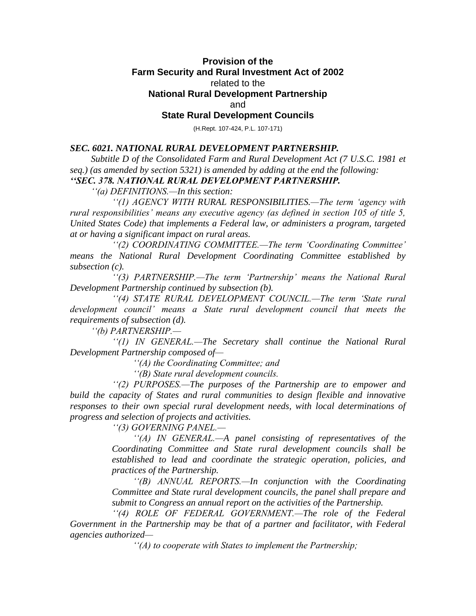## **Provision of the Farm Security and Rural Investment Act of 2002** related to the **National Rural Development Partnership** and

## **State Rural Development Councils**

(H.Rept. 107-424, P.L. 107-171)

## *SEC. 6021. NATIONAL RURAL DEVELOPMENT PARTNERSHIP.*

*Subtitle D of the Consolidated Farm and Rural Development Act (7 U.S.C. 1981 et seq.) (as amended by section 5321) is amended by adding at the end the following: ''SEC. 378. NATIONAL RURAL DEVELOPMENT PARTNERSHIP.*

*''(a) DEFINITIONS.—In this section:*

*''(1) AGENCY WITH RURAL RESPONSIBILITIES.—The term 'agency with rural responsibilities' means any executive agency (as defined in section 105 of title 5, United States Code) that implements a Federal law, or administers a program, targeted at or having a significant impact on rural areas.*

*''(2) COORDINATING COMMITTEE.—The term 'Coordinating Committee' means the National Rural Development Coordinating Committee established by subsection (c).*

*''(3) PARTNERSHIP.—The term 'Partnership' means the National Rural Development Partnership continued by subsection (b).*

*''(4) STATE RURAL DEVELOPMENT COUNCIL.—The term 'State rural development council' means a State rural development council that meets the requirements of subsection (d).*

*''(b) PARTNERSHIP.—*

*''(1) IN GENERAL.—The Secretary shall continue the National Rural Development Partnership composed of—*

*''(A) the Coordinating Committee; and*

*''(B) State rural development councils.*

*''(2) PURPOSES.—The purposes of the Partnership are to empower and build the capacity of States and rural communities to design flexible and innovative*  responses to their own special rural development needs, with local determinations of *progress and selection of projects and activities.*

*''(3) GOVERNING PANEL.—*

*''(A) IN GENERAL.—A panel consisting of representatives of the Coordinating Committee and State rural development councils shall be established to lead and coordinate the strategic operation, policies, and practices of the Partnership.*

*''(B) ANNUAL REPORTS.—In conjunction with the Coordinating Committee and State rural development councils, the panel shall prepare and submit to Congress an annual report on the activities of the Partnership.*

*''(4) ROLE OF FEDERAL GOVERNMENT.—The role of the Federal Government in the Partnership may be that of a partner and facilitator, with Federal agencies authorized—*

*''(A) to cooperate with States to implement the Partnership;*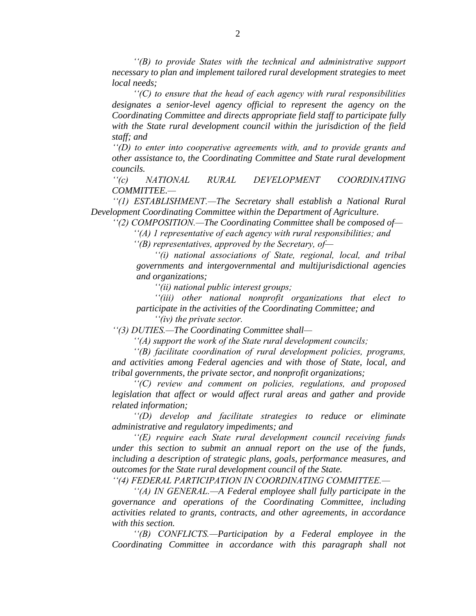*''(B) to provide States with the technical and administrative support necessary to plan and implement tailored rural development strategies to meet local needs;*

*''(C) to ensure that the head of each agency with rural responsibilities designates a senior-level agency official to represent the agency on the Coordinating Committee and directs appropriate field staff to participate fully with the State rural development council within the jurisdiction of the field staff; and*

*''(D) to enter into cooperative agreements with, and to provide grants and other assistance to, the Coordinating Committee and State rural development councils.*

*''(c) NATIONAL RURAL DEVELOPMENT COORDINATING COMMITTEE.—*

*''(1) ESTABLISHMENT.—The Secretary shall establish a National Rural Development Coordinating Committee within the Department of Agriculture.*

*''(2) COMPOSITION.—The Coordinating Committee shall be composed of—*

*''(A) 1 representative of each agency with rural responsibilities; and*

*''(B) representatives, approved by the Secretary, of—*

*''(i) national associations of State, regional, local, and tribal governments and intergovernmental and multijurisdictional agencies and organizations;*

*''(ii) national public interest groups;*

*''(iii) other national nonprofit organizations that elect to participate in the activities of the Coordinating Committee; and*

*''(iv) the private sector.*

*''(3) DUTIES.—The Coordinating Committee shall—*

*''(A) support the work of the State rural development councils;*

*''(B) facilitate coordination of rural development policies, programs, and activities among Federal agencies and with those of State, local, and tribal governments, the private sector, and nonprofit organizations;*

*''(C) review and comment on policies, regulations, and proposed legislation that affect or would affect rural areas and gather and provide related information;*

*''(D) develop and facilitate strategies to reduce or eliminate administrative and regulatory impediments; and*

*''(E) require each State rural development council receiving funds under this section to submit an annual report on the use of the funds, including a description of strategic plans, goals, performance measures, and outcomes for the State rural development council of the State.*

*''(4) FEDERAL PARTICIPATION IN COORDINATING COMMITTEE.—*

*''(A) IN GENERAL.—A Federal employee shall fully participate in the governance and operations of the Coordinating Committee, including activities related to grants, contracts, and other agreements, in accordance with this section.*

*''(B) CONFLICTS.—Participation by a Federal employee in the Coordinating Committee in accordance with this paragraph shall not*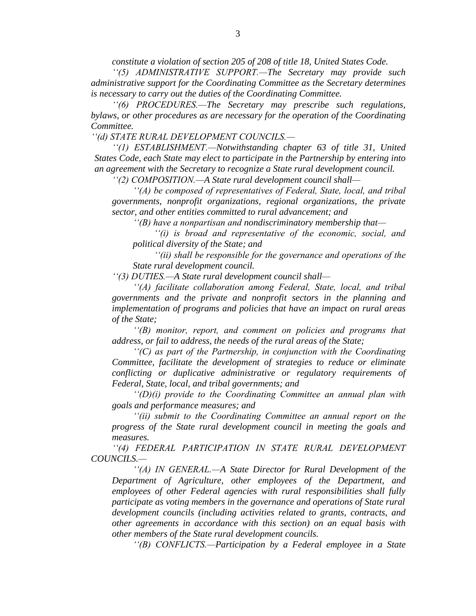*constitute a violation of section 205 of 208 of title 18, United States Code.*

*''(5) ADMINISTRATIVE SUPPORT.—The Secretary may provide such administrative support for the Coordinating Committee as the Secretary determines is necessary to carry out the duties of the Coordinating Committee.*

*''(6) PROCEDURES.—The Secretary may prescribe such regulations, bylaws, or other procedures as are necessary for the operation of the Coordinating Committee.*

*''(d) STATE RURAL DEVELOPMENT COUNCILS.—*

*''(1) ESTABLISHMENT.—Notwithstanding chapter 63 of title 31, United States Code, each State may elect to participate in the Partnership by entering into an agreement with the Secretary to recognize a State rural development council.*

*''(2) COMPOSITION.—A State rural development council shall—*

*''(A) be composed of representatives of Federal, State, local, and tribal governments, nonprofit organizations, regional organizations, the private sector, and other entities committed to rural advancement; and*

*''(B) have a nonpartisan and nondiscriminatory membership that—*

*''(i) is broad and representative of the economic, social, and political diversity of the State; and*

*''(ii) shall be responsible for the governance and operations of the State rural development council.*

*''(3) DUTIES.—A State rural development council shall—*

*''(A) facilitate collaboration among Federal, State, local, and tribal governments and the private and nonprofit sectors in the planning and implementation of programs and policies that have an impact on rural areas of the State;*

*''(B) monitor, report, and comment on policies and programs that address, or fail to address, the needs of the rural areas of the State;*

*''(C) as part of the Partnership, in conjunction with the Coordinating Committee, facilitate the development of strategies to reduce or eliminate conflicting or duplicative administrative or regulatory requirements of Federal, State, local, and tribal governments; and*

*''(D)(i) provide to the Coordinating Committee an annual plan with goals and performance measures; and*

*''(ii) submit to the Coordinating Committee an annual report on the progress of the State rural development council in meeting the goals and measures.*

*''(4) FEDERAL PARTICIPATION IN STATE RURAL DEVELOPMENT COUNCILS.—*

*''(A) IN GENERAL.—A State Director for Rural Development of the Department of Agriculture, other employees of the Department, and employees of other Federal agencies with rural responsibilities shall fully participate as voting members in the governance and operations of State rural development councils (including activities related to grants, contracts, and other agreements in accordance with this section) on an equal basis with other members of the State rural development councils.*

*''(B) CONFLICTS.—Participation by a Federal employee in a State*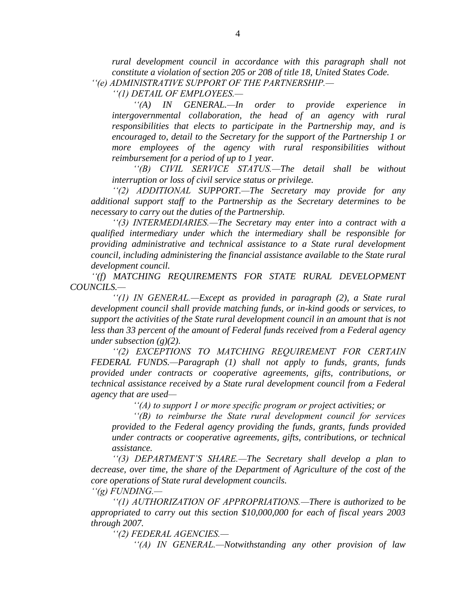*rural development council in accordance with this paragraph shall not constitute a violation of section 205 or 208 of title 18, United States Code. ''(e) ADMINISTRATIVE SUPPORT OF THE PARTNERSHIP.—*

*''(1) DETAIL OF EMPLOYEES.—*

*''(A) IN GENERAL.—In order to provide experience in intergovernmental collaboration, the head of an agency with rural responsibilities that elects to participate in the Partnership may, and is encouraged to, detail to the Secretary for the support of the Partnership 1 or more employees of the agency with rural responsibilities without reimbursement for a period of up to 1 year.*

*''(B) CIVIL SERVICE STATUS.—The detail shall be without interruption or loss of civil service status or privilege.*

*''(2) ADDITIONAL SUPPORT.—The Secretary may provide for any additional support staff to the Partnership as the Secretary determines to be necessary to carry out the duties of the Partnership.*

*''(3) INTERMEDIARIES.—The Secretary may enter into a contract with a qualified intermediary under which the intermediary shall be responsible for providing administrative and technical assistance to a State rural development council, including administering the financial assistance available to the State rural development council.*

*''(f) MATCHING REQUIREMENTS FOR STATE RURAL DEVELOPMENT COUNCILS.—*

*''(1) IN GENERAL.—Except as provided in paragraph (2), a State rural development council shall provide matching funds, or in-kind goods or services, to support the activities of the State rural development council in an amount that is not less than 33 percent of the amount of Federal funds received from a Federal agency under subsection (g)(2).*

*''(2) EXCEPTIONS TO MATCHING REQUIREMENT FOR CERTAIN FEDERAL FUNDS.—Paragraph (1) shall not apply to funds, grants, funds provided under contracts or cooperative agreements, gifts, contributions, or technical assistance received by a State rural development council from a Federal agency that are used—*

*''(A) to support 1 or more specific program or project activities; or*

*''(B) to reimburse the State rural development council for services provided to the Federal agency providing the funds, grants, funds provided under contracts or cooperative agreements, gifts, contributions, or technical assistance.*

*''(3) DEPARTMENT'S SHARE.—The Secretary shall develop a plan to decrease, over time, the share of the Department of Agriculture of the cost of the core operations of State rural development councils.*

*''(g) FUNDING.—*

*''(1) AUTHORIZATION OF APPROPRIATIONS.—There is authorized to be appropriated to carry out this section \$10,000,000 for each of fiscal years 2003 through 2007.*

*''(2) FEDERAL AGENCIES.—*

*''(A) IN GENERAL.—Notwithstanding any other provision of law*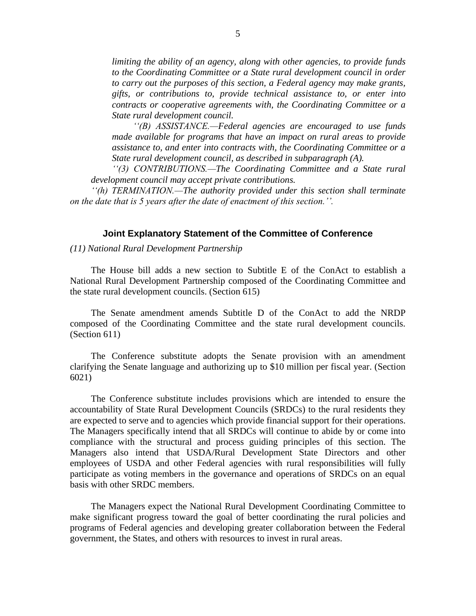*limiting the ability of an agency, along with other agencies, to provide funds to the Coordinating Committee or a State rural development council in order to carry out the purposes of this section, a Federal agency may make grants, gifts, or contributions to, provide technical assistance to, or enter into contracts or cooperative agreements with, the Coordinating Committee or a State rural development council.*

*''(B) ASSISTANCE.—Federal agencies are encouraged to use funds made available for programs that have an impact on rural areas to provide assistance to, and enter into contracts with, the Coordinating Committee or a State rural development council, as described in subparagraph (A).*

*''(3) CONTRIBUTIONS.—The Coordinating Committee and a State rural development council may accept private contributions.*

*''(h) TERMINATION.—The authority provided under this section shall terminate on the date that is 5 years after the date of enactment of this section.''.*

## **Joint Explanatory Statement of the Committee of Conference**

*(11) National Rural Development Partnership*

The House bill adds a new section to Subtitle E of the ConAct to establish a National Rural Development Partnership composed of the Coordinating Committee and the state rural development councils. (Section 615)

The Senate amendment amends Subtitle D of the ConAct to add the NRDP composed of the Coordinating Committee and the state rural development councils. (Section 611)

The Conference substitute adopts the Senate provision with an amendment clarifying the Senate language and authorizing up to \$10 million per fiscal year. (Section 6021)

The Conference substitute includes provisions which are intended to ensure the accountability of State Rural Development Councils (SRDCs) to the rural residents they are expected to serve and to agencies which provide financial support for their operations. The Managers specifically intend that all SRDCs will continue to abide by or come into compliance with the structural and process guiding principles of this section. The Managers also intend that USDA/Rural Development State Directors and other employees of USDA and other Federal agencies with rural responsibilities will fully participate as voting members in the governance and operations of SRDCs on an equal basis with other SRDC members.

The Managers expect the National Rural Development Coordinating Committee to make significant progress toward the goal of better coordinating the rural policies and programs of Federal agencies and developing greater collaboration between the Federal government, the States, and others with resources to invest in rural areas.